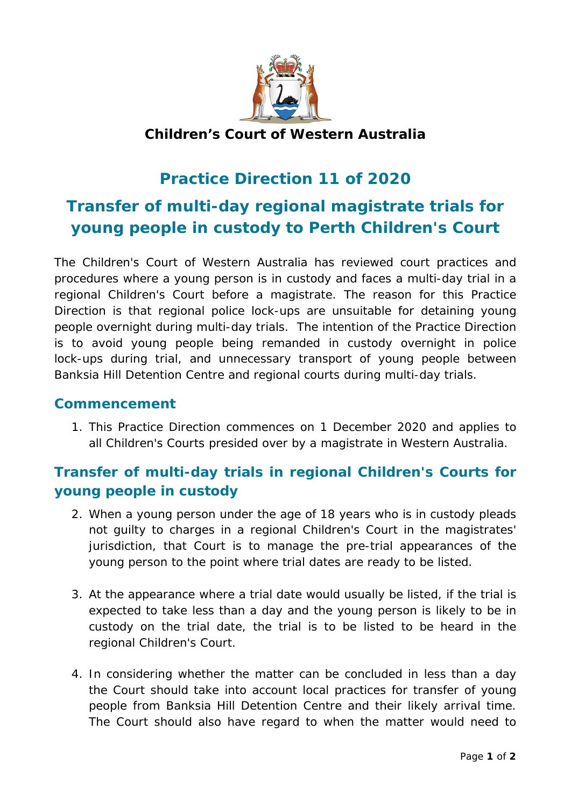

#### **Children's Court of Western Australia**

## **Practice Direction 11 of 2020**

# **Transfer of multi-day regional magistrate trials for young people in custody to Perth Children's Court**

The Children's Court of Western Australia has reviewed court practices and procedures where a young person is in custody and faces a multi-day trial in a regional Children's Court before a magistrate. The reason for this Practice Direction is that regional police lock-ups are unsuitable for detaining young people overnight during multi-day trials. The intention of the Practice Direction is to avoid young people being remanded in custody overnight in police lock-ups during trial, and unnecessary transport of young people between Banksia Hill Detention Centre and regional courts during multi-day trials.

#### **Commencement**

1. This Practice Direction commences on 1 December 2020 and applies to all Children's Courts presided over by a magistrate in Western Australia.

### **Transfer of multi-day trials in regional Children's Courts for young people in custody**

- 2. When a young person under the age of 18 years who is in custody pleads not guilty to charges in a regional Children's Court in the magistrates' jurisdiction, that Court is to manage the pre-trial appearances of the young person to the point where trial dates are ready to be listed.
- 3. At the appearance where a trial date would usually be listed, if the trial is expected to take less than a day and the young person is likely to be in custody on the trial date, the trial is to be listed to be heard in the regional Children's Court.
- 4. In considering whether the matter can be concluded in less than a day the Court should take into account local practices for transfer of young people from Banksia Hill Detention Centre and their likely arrival time. The Court should also have regard to when the matter would need to